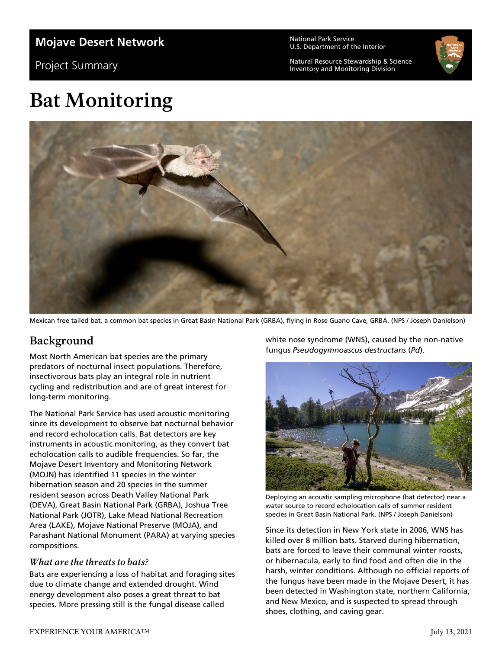### **Mojave Desert Network**

Project Summary

National Park Service U.S. Department of the Interior

Natural Resource Stewardship & Science Inventory and Monitoring Division



# **Bat Monitoring**



Mexican free tailed bat, a common bat species in Great Basin National Park (GRBA), flying in Rose Guano Cave, GRBA. (NPS / Joseph Danielson)

## **Background**

Most North American bat species are the primary predators of nocturnal insect populations. Therefore, insectivorous bats play an integral role in nutrient cycling and redistribution and are of great interest for long-term monitoring.

The National Park Service has used acoustic monitoring since its development to observe bat nocturnal behavior and record echolocation calls. Bat detectors are key instruments in acoustic monitoring, as they convert bat echolocation calls to audible frequencies. So far, the Mojave Desert Inventory and Monitoring Network (MOJN) has identified 11 species in the winter hibernation season and 20 species in the summer resident season across Death Valley National Park (DEVA), Great Basin National Park (GRBA), Joshua Tree National Park (JOTR), Lake Mead National Recreation Area (LAKE), Mojave National Preserve (MOJA), and Parashant National Monument (PARA) at varying species compositions.

#### *What are the threats to bats?*

Bats are experiencing a loss of habitat and foraging sites due to climate change and extended drought. Wind energy development also poses a great threat to bat species. More pressing still is the fungal disease called

white nose syndrome (WNS), caused by the non-native fungus *Pseudogymnoascus destructans* (*Pd*).



Deploying an acoustic sampling microphone (bat detector) near a water source to record echolocation calls of summer resident species in Great Basin National Park. (NPS / Joseph Danielson)

Since its detection in New York state in 2006, WNS has killed over 8 million bats. Starved during hibernation, bats are forced to leave their communal winter roosts, or hibernacula, early to find food and often die in the harsh, winter conditions. Although no official reports of the fungus have been made in the Mojave Desert, it has been detected in Washington state, northern California, and New Mexico, and is suspected to spread through shoes, clothing, and caving gear.